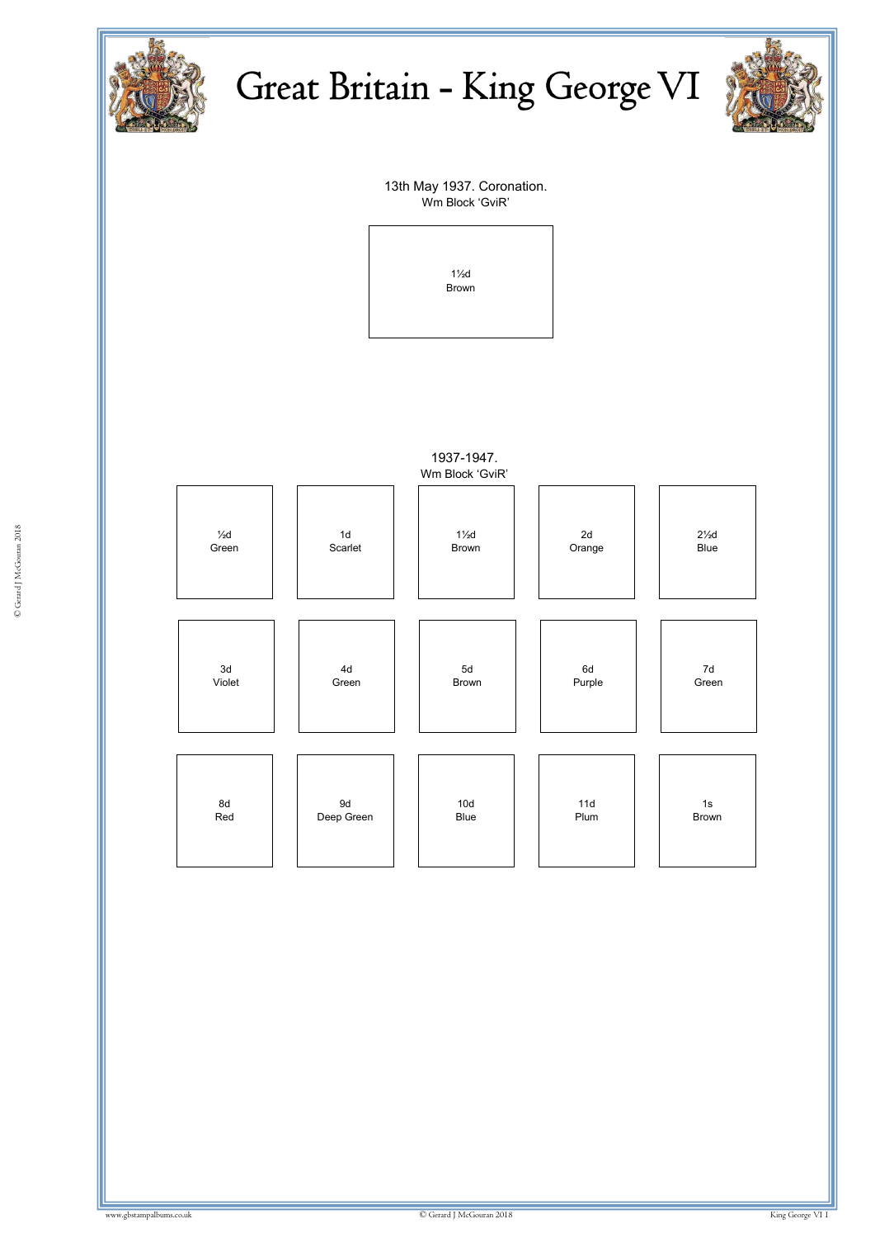



13th May 1937. Coronation. Wm Block 'GviR'



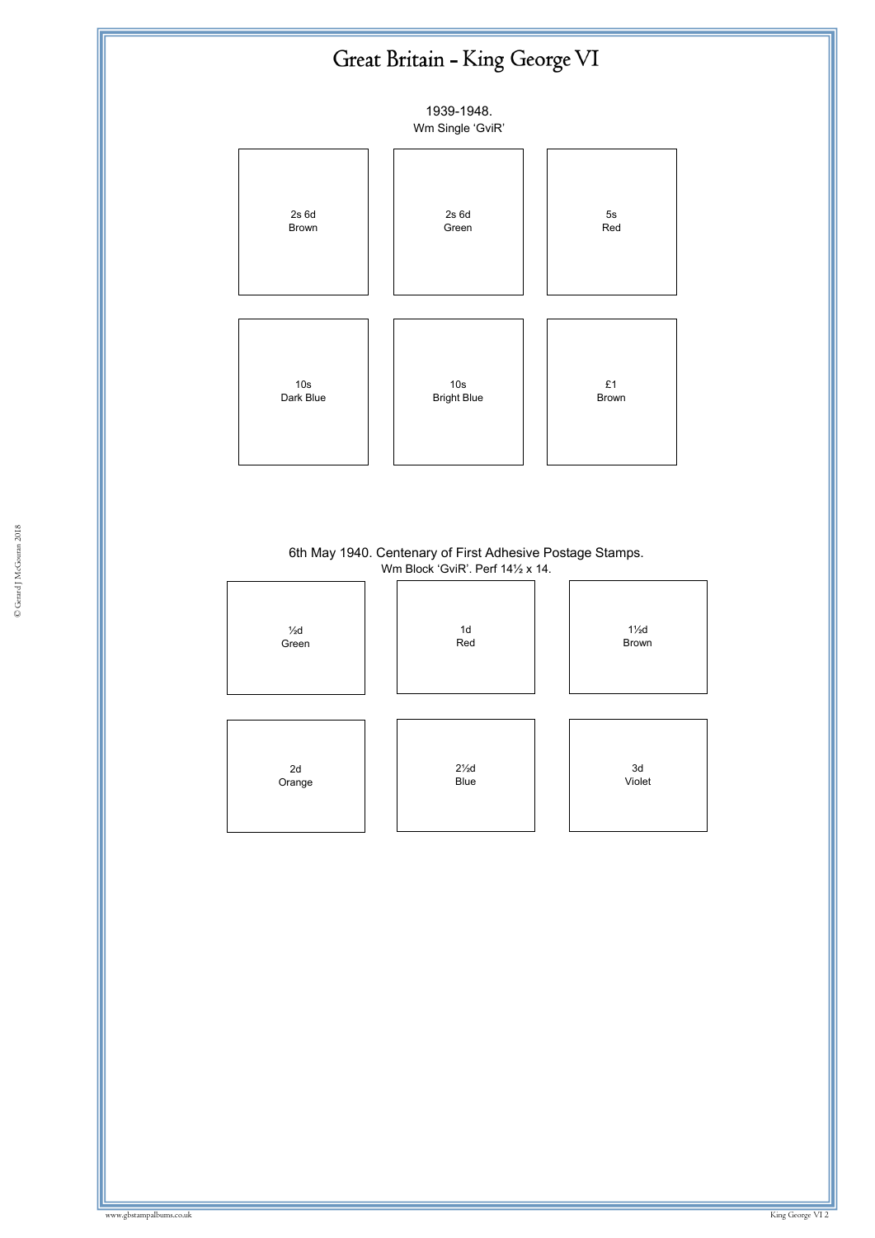

6th May 1940. Centenary of First Adhesive Postage Stamps. Wm Block 'GviR'. Perf 14½ x 14.

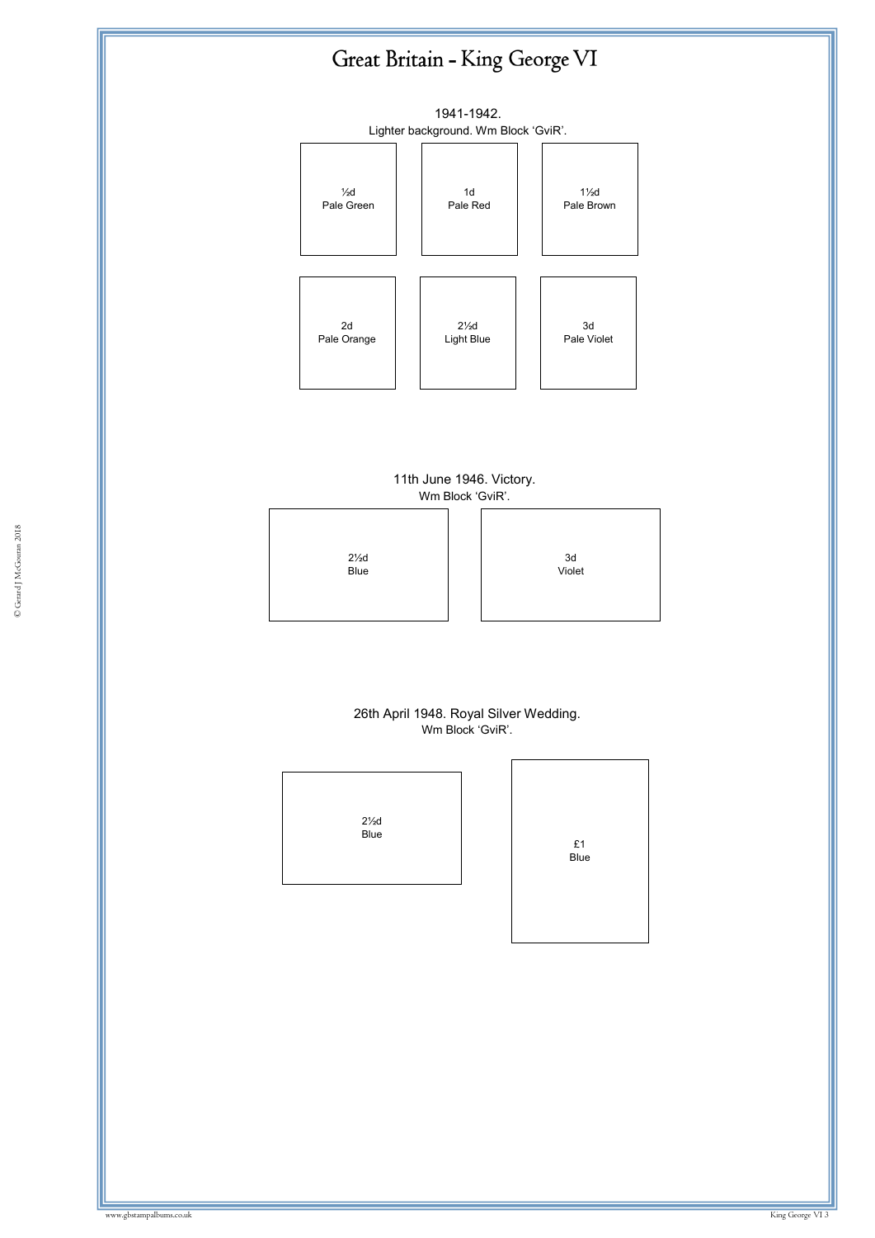

#### 11th June 1946. Victory. Wm Block 'GviR'.



#### 26th April 1948. Royal Silver Wedding. Wm Block 'GviR'.

| 2½d<br>Blue |  |
|-------------|--|
|             |  |

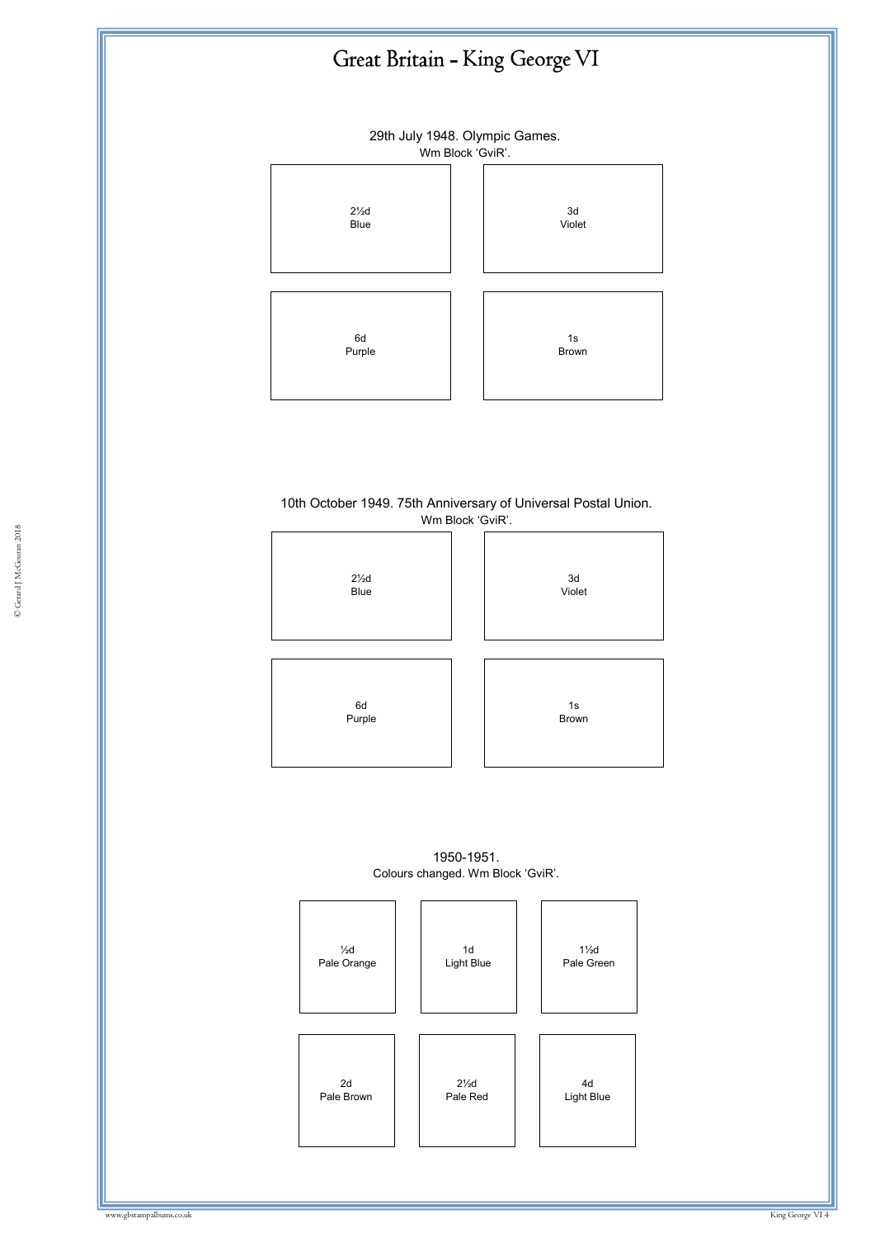

29th July 1948. Olympic Games.



#### 10th October 1949. 75th Anniversary of Universal Postal Union. Wm Block 'GviR'.